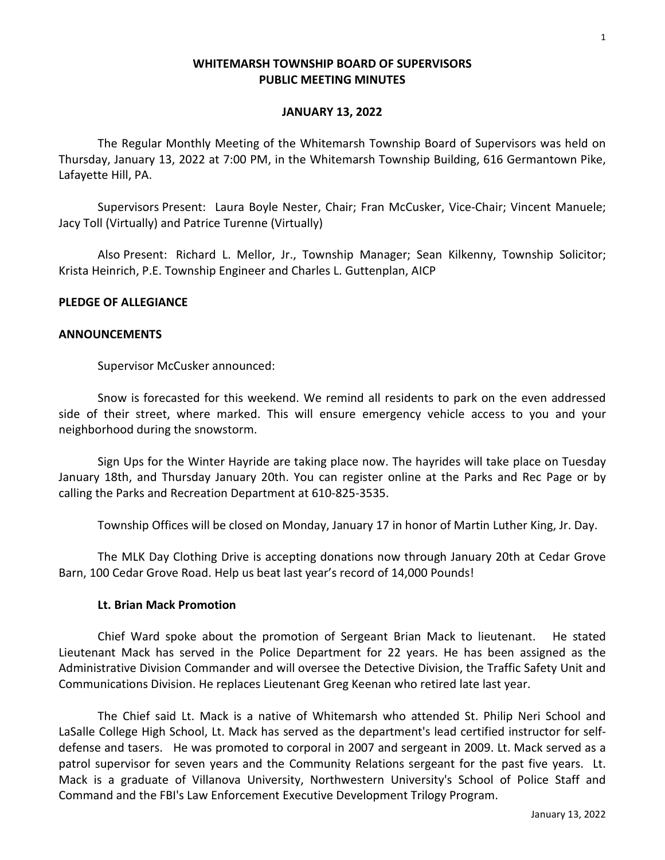### **WHITEMARSH TOWNSHIP BOARD OF SUPERVISORS PUBLIC MEETING MINUTES**

#### **JANUARY 13, 2022**

The Regular Monthly Meeting of the Whitemarsh Township Board of Supervisors was held on Thursday, January 13, 2022 at 7:00 PM, in the Whitemarsh Township Building, 616 Germantown Pike, Lafayette Hill, PA.

Supervisors Present: Laura Boyle Nester, Chair; Fran McCusker, Vice-Chair; Vincent Manuele; Jacy Toll (Virtually) and Patrice Turenne (Virtually)

Also Present: Richard L. Mellor, Jr., Township Manager; Sean Kilkenny, Township Solicitor; Krista Heinrich, P.E. Township Engineer and Charles L. Guttenplan, AICP

### **PLEDGE OF ALLEGIANCE**

#### **ANNOUNCEMENTS**

Supervisor McCusker announced:

Snow is forecasted for this weekend. We remind all residents to park on the even addressed side of their street, where marked. This will ensure emergency vehicle access to you and your neighborhood during the snowstorm.

Sign Ups for the Winter Hayride are taking place now. The hayrides will take place on Tuesday January 18th, and Thursday January 20th. You can register online at the Parks and Rec Page or by calling the Parks and Recreation Department at 610-825-3535.

Township Offices will be closed on Monday, January 17 in honor of Martin Luther King, Jr. Day.

The MLK Day Clothing Drive is accepting donations now through January 20th at Cedar Grove Barn, 100 Cedar Grove Road. Help us beat last year's record of 14,000 Pounds!

#### **Lt. Brian Mack Promotion**

Chief Ward spoke about the promotion of Sergeant Brian Mack to lieutenant. He stated Lieutenant Mack has served in the Police Department for 22 years. He has been assigned as the Administrative Division Commander and will oversee the Detective Division, the Traffic Safety Unit and Communications Division. He replaces Lieutenant Greg Keenan who retired late last year.

The Chief said Lt. Mack is a native of Whitemarsh who attended St. Philip Neri School and LaSalle College High School, Lt. Mack has served as the department's lead certified instructor for selfdefense and tasers. He was promoted to corporal in 2007 and sergeant in 2009. Lt. Mack served as a patrol supervisor for seven years and the Community Relations sergeant for the past five years. Lt. Mack is a graduate of Villanova University, Northwestern University's School of Police Staff and Command and the FBI's Law Enforcement Executive Development Trilogy Program.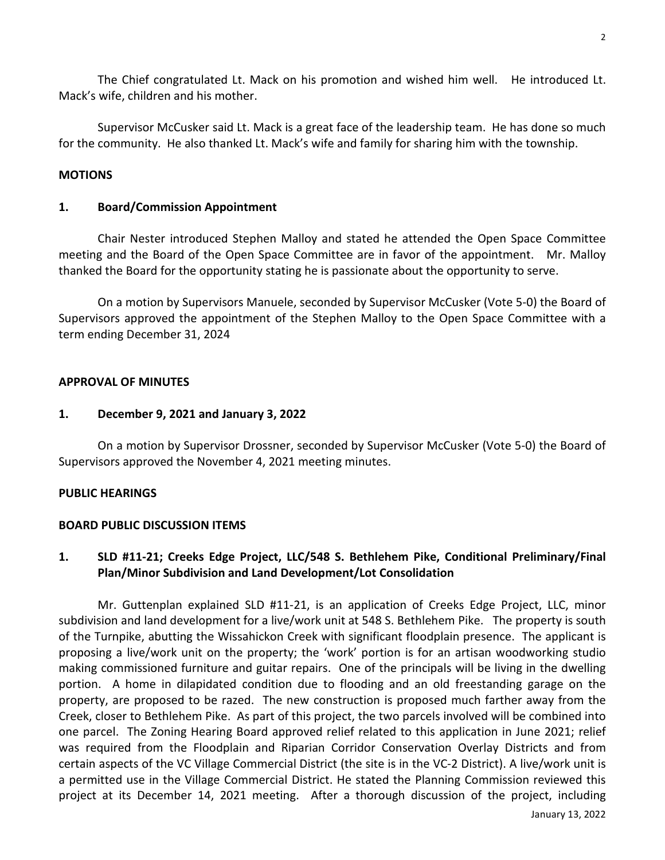The Chief congratulated Lt. Mack on his promotion and wished him well. He introduced Lt. Mack's wife, children and his mother.

Supervisor McCusker said Lt. Mack is a great face of the leadership team. He has done so much for the community. He also thanked Lt. Mack's wife and family for sharing him with the township.

### **MOTIONS**

### **1. Board/Commission Appointment**

Chair Nester introduced Stephen Malloy and stated he attended the Open Space Committee meeting and the Board of the Open Space Committee are in favor of the appointment. Mr. Malloy thanked the Board for the opportunity stating he is passionate about the opportunity to serve.

On a motion by Supervisors Manuele, seconded by Supervisor McCusker (Vote 5-0) the Board of Supervisors approved the appointment of the Stephen Malloy to the Open Space Committee with a term ending December 31, 2024

### **APPROVAL OF MINUTES**

### **1. December 9, 2021 and January 3, 2022**

On a motion by Supervisor Drossner, seconded by Supervisor McCusker (Vote 5-0) the Board of Supervisors approved the November 4, 2021 meeting minutes.

## **PUBLIC HEARINGS**

### **BOARD PUBLIC DISCUSSION ITEMS**

# **1. SLD #11-21; Creeks Edge Project, LLC/548 S. Bethlehem Pike, Conditional Preliminary/Final Plan/Minor Subdivision and Land Development/Lot Consolidation**

Mr. Guttenplan explained SLD #11-21, is an application of Creeks Edge Project, LLC, minor subdivision and land development for a live/work unit at 548 S. Bethlehem Pike. The property is south of the Turnpike, abutting the Wissahickon Creek with significant floodplain presence. The applicant is proposing a live/work unit on the property; the 'work' portion is for an artisan woodworking studio making commissioned furniture and guitar repairs. One of the principals will be living in the dwelling portion. A home in dilapidated condition due to flooding and an old freestanding garage on the property, are proposed to be razed. The new construction is proposed much farther away from the Creek, closer to Bethlehem Pike. As part of this project, the two parcels involved will be combined into one parcel. The Zoning Hearing Board approved relief related to this application in June 2021; relief was required from the Floodplain and Riparian Corridor Conservation Overlay Districts and from certain aspects of the VC Village Commercial District (the site is in the VC-2 District). A live/work unit is a permitted use in the Village Commercial District. He stated the Planning Commission reviewed this project at its December 14, 2021 meeting. After a thorough discussion of the project, including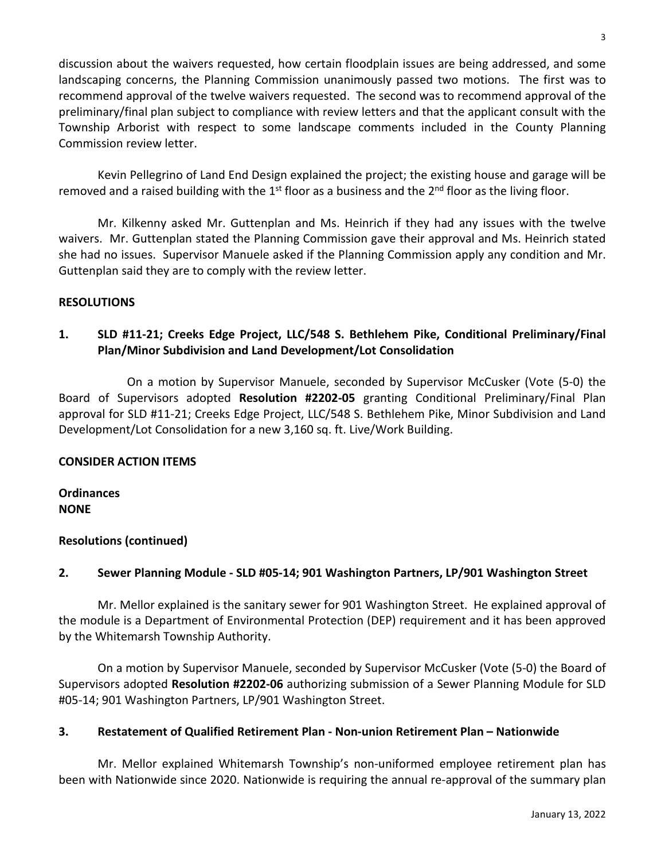discussion about the waivers requested, how certain floodplain issues are being addressed, and some landscaping concerns, the Planning Commission unanimously passed two motions. The first was to recommend approval of the twelve waivers requested. The second was to recommend approval of the preliminary/final plan subject to compliance with review letters and that the applicant consult with the Township Arborist with respect to some landscape comments included in the County Planning Commission review letter.

Kevin Pellegrino of Land End Design explained the project; the existing house and garage will be removed and a raised building with the  $1<sup>st</sup>$  floor as a business and the  $2<sup>nd</sup>$  floor as the living floor.

Mr. Kilkenny asked Mr. Guttenplan and Ms. Heinrich if they had any issues with the twelve waivers. Mr. Guttenplan stated the Planning Commission gave their approval and Ms. Heinrich stated she had no issues. Supervisor Manuele asked if the Planning Commission apply any condition and Mr. Guttenplan said they are to comply with the review letter.

## **RESOLUTIONS**

# **1. SLD #11-21; Creeks Edge Project, LLC/548 S. Bethlehem Pike, Conditional Preliminary/Final Plan/Minor Subdivision and Land Development/Lot Consolidation**

On a motion by Supervisor Manuele, seconded by Supervisor McCusker (Vote (5-0) the Board of Supervisors adopted **Resolution #2202-05** granting Conditional Preliminary/Final Plan approval for SLD #11-21; Creeks Edge Project, LLC/548 S. Bethlehem Pike, Minor Subdivision and Land Development/Lot Consolidation for a new 3,160 sq. ft. Live/Work Building.

## **CONSIDER ACTION ITEMS**

**Ordinances NONE**

## **Resolutions (continued)**

# **2. Sewer Planning Module - SLD #05-14; 901 Washington Partners, LP/901 Washington Street**

Mr. Mellor explained is the sanitary sewer for 901 Washington Street. He explained approval of the module is a Department of Environmental Protection (DEP) requirement and it has been approved by the Whitemarsh Township Authority.

On a motion by Supervisor Manuele, seconded by Supervisor McCusker (Vote (5-0) the Board of Supervisors adopted **Resolution #2202-06** authorizing submission of a Sewer Planning Module for SLD #05-14; 901 Washington Partners, LP/901 Washington Street.

## **3. Restatement of Qualified Retirement Plan - Non-union Retirement Plan – Nationwide**

Mr. Mellor explained Whitemarsh Township's non-uniformed employee retirement plan has been with Nationwide since 2020. Nationwide is requiring the annual re-approval of the summary plan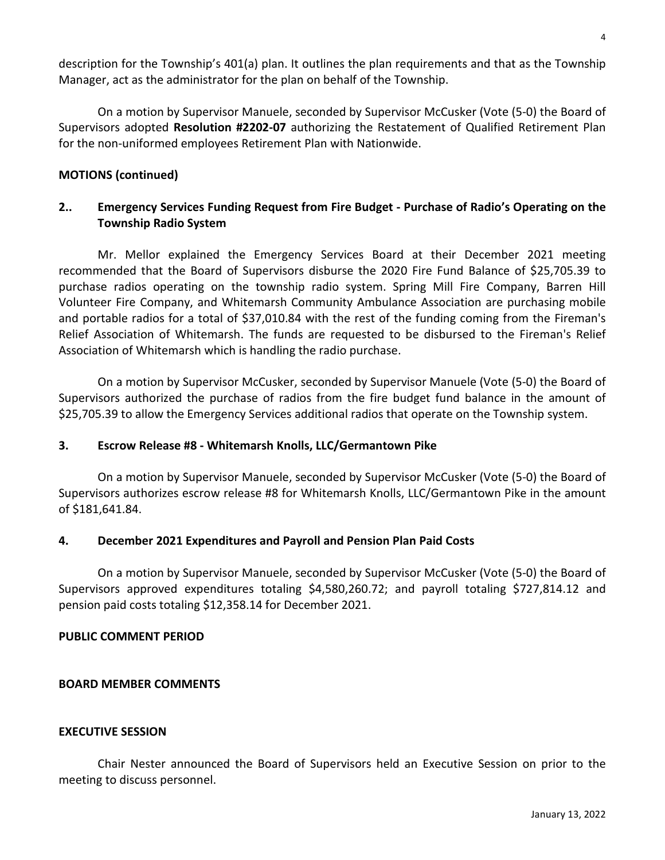description for the Township's 401(a) plan. It outlines the plan requirements and that as the Township Manager, act as the administrator for the plan on behalf of the Township.

On a motion by Supervisor Manuele, seconded by Supervisor McCusker (Vote (5-0) the Board of Supervisors adopted **Resolution #2202-07** authorizing the Restatement of Qualified Retirement Plan for the non-uniformed employees Retirement Plan with Nationwide.

### **MOTIONS (continued)**

# **2.. Emergency Services Funding Request from Fire Budget - Purchase of Radio's Operating on the Township Radio System**

Mr. Mellor explained the Emergency Services Board at their December 2021 meeting recommended that the Board of Supervisors disburse the 2020 Fire Fund Balance of \$25,705.39 to purchase radios operating on the township radio system. Spring Mill Fire Company, Barren Hill Volunteer Fire Company, and Whitemarsh Community Ambulance Association are purchasing mobile and portable radios for a total of \$37,010.84 with the rest of the funding coming from the Fireman's Relief Association of Whitemarsh. The funds are requested to be disbursed to the Fireman's Relief Association of Whitemarsh which is handling the radio purchase.

On a motion by Supervisor McCusker, seconded by Supervisor Manuele (Vote (5-0) the Board of Supervisors authorized the purchase of radios from the fire budget fund balance in the amount of \$25,705.39 to allow the Emergency Services additional radios that operate on the Township system.

### **3. Escrow Release #8 - Whitemarsh Knolls, LLC/Germantown Pike**

On a motion by Supervisor Manuele, seconded by Supervisor McCusker (Vote (5-0) the Board of Supervisors authorizes escrow release #8 for Whitemarsh Knolls, LLC/Germantown Pike in the amount of \$181,641.84.

### **4. December 2021 Expenditures and Payroll and Pension Plan Paid Costs**

On a motion by Supervisor Manuele, seconded by Supervisor McCusker (Vote (5-0) the Board of Supervisors approved expenditures totaling \$4,580,260.72; and payroll totaling \$727,814.12 and pension paid costs totaling \$12,358.14 for December 2021.

### **PUBLIC COMMENT PERIOD**

### **BOARD MEMBER COMMENTS**

### **EXECUTIVE SESSION**

Chair Nester announced the Board of Supervisors held an Executive Session on prior to the meeting to discuss personnel.